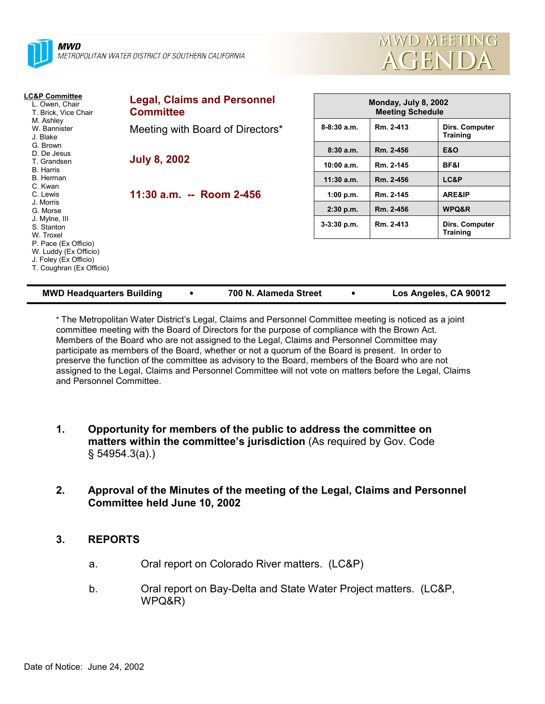



| <b>LC&amp;P Committee</b><br>L. Owen, Chair<br>T. Brick, Vice Chair                                                                                                     | <b>Legal, Claims and Personnel</b><br><b>Committee</b> | Monday, July 8, 2002<br><b>Meeting Schedule</b> |           |                                   |
|-------------------------------------------------------------------------------------------------------------------------------------------------------------------------|--------------------------------------------------------|-------------------------------------------------|-----------|-----------------------------------|
| M. Ashley<br>W. Bannister<br>J. Blake                                                                                                                                   | Meeting with Board of Directors*                       | $8 - 8:30$ a.m.                                 | Rm. 2-413 | Dirs. Computer<br><b>Training</b> |
| G. Brown<br>D. De Jesus                                                                                                                                                 |                                                        | 8:30a.m.                                        | Rm. 2-456 | <b>E&amp;O</b>                    |
| T. Grandsen<br><b>B.</b> Harris                                                                                                                                         | <b>July 8, 2002</b>                                    | 10:00 a.m.                                      | Rm. 2-145 | BF&I                              |
| B. Herman                                                                                                                                                               |                                                        | $11:30$ a.m.                                    | Rm. 2-456 | LC&P                              |
| C. Kwan<br>C. Lewis                                                                                                                                                     | 11:30 a.m. -- Room 2-456                               | 1:00 p.m.                                       | Rm. 2-145 | ARE&IP                            |
| J. Morris<br>G. Morse<br>J. Mylne, III<br>S. Stanton<br>W. Troxel<br>P. Pace (Ex Officio)<br>W. Luddy (Ex Officio)<br>J. Foley (Ex Officio)<br>T. Coughran (Ex Officio) |                                                        | $2:30$ p.m.                                     | Rm. 2-456 | WPQ&R                             |
|                                                                                                                                                                         |                                                        | $3-3:30$ p.m.                                   | Rm. 2-413 | Dirs. Computer<br><b>Training</b> |
|                                                                                                                                                                         |                                                        |                                                 |           |                                   |

| <b>MWD Headquarters Building</b> | 700 N. Alameda Street | Los Angeles, CA 90012 |
|----------------------------------|-----------------------|-----------------------|
|                                  |                       |                       |

\* The Metropolitan Water Districtís Legal, Claims and Personnel Committee meeting is noticed as a joint committee meeting with the Board of Directors for the purpose of compliance with the Brown Act. Members of the Board who are not assigned to the Legal, Claims and Personnel Committee may participate as members of the Board, whether or not a quorum of the Board is present. In order to preserve the function of the committee as advisory to the Board, members of the Board who are not assigned to the Legal, Claims and Personnel Committee will not vote on matters before the Legal, Claims and Personnel Committee.

- **1. Opportunity for members of the public to address the committee on matters within the committee's jurisdiction** (As required by Gov. Code ß 54954.3(a).)
- **2. Approval of the Minutes of the meeting of the Legal, Claims and Personnel Committee held June 10, 2002**

# **3. REPORTS**

- a. Oral report on Colorado River matters. (LC&P)
- b. Oral report on Bay-Delta and State Water Project matters. (LC&P, WPQ&R)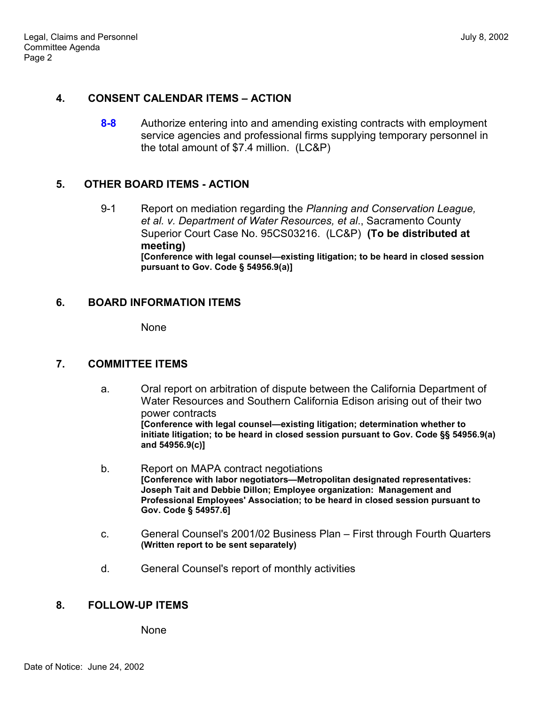#### **4. CONSENT CALENDAR ITEMS – ACTION**

**8-8** Authorize entering into and amending existing contracts with employment service agencies and professional firms supplying temporary personnel in the total amount of \$7.4 million. (LC&P)

#### **5. OTHER BOARD ITEMS - ACTION**

9-1 Report on mediation regarding the *Planning and Conservation League, et al. v. Department of Water Resources, et al*., Sacramento County Superior Court Case No. 95CS03216. (LC&P) **(To be distributed at meeting) [Conference with legal counsel—existing litigation; to be heard in closed session pursuant to Gov. Code ß 54956.9(a)]**

#### **6. BOARD INFORMATION ITEMS**

None

# **7. COMMITTEE ITEMS**

- a. Oral report on arbitration of dispute between the California Department of Water Resources and Southern California Edison arising out of their two power contracts **[Conference with legal counsel—existing litigation; determination whether to initiate litigation; to be heard in closed session pursuant to Gov. Code ßß 54956.9(a) and 54956.9(c)]**
- b. Report on MAPA contract negotiations [Conference with labor negotiators-Metropolitan designated representatives: **Joseph Tait and Debbie Dillon; Employee organization: Management and Professional Employees' Association; to be heard in closed session pursuant to Gov. Code ß 54957.6]**
- c. General Counsel's 2001/02 Business Plan First through Fourth Quarters **(Written report to be sent separately)**
- d. General Counsel's report of monthly activities

# **8. FOLLOW-UP ITEMS**

None